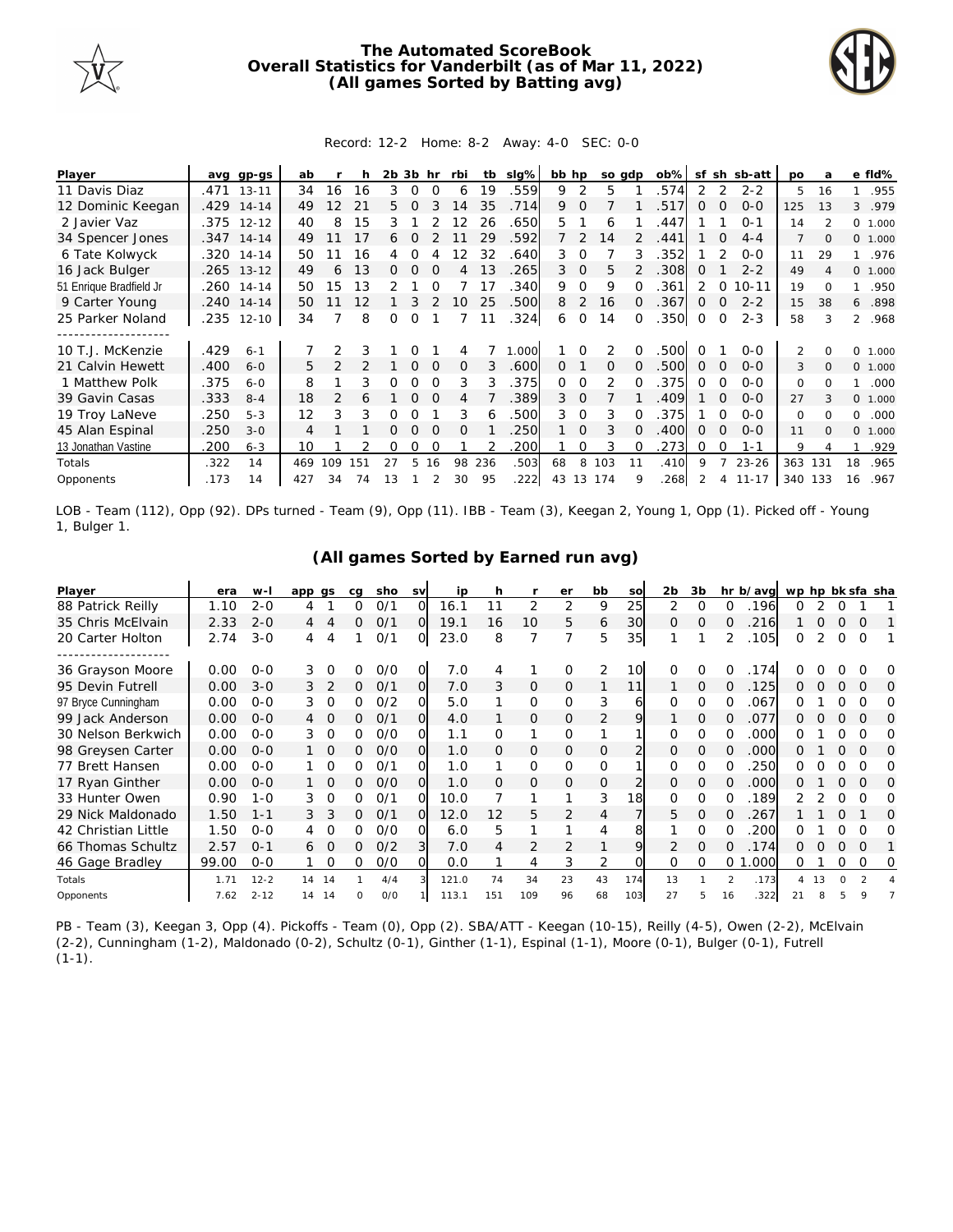

## **The Automated ScoreBook Overall Statistics for Vanderbilt (as of Mar 11, 2022) (All games Sorted by Batting avg)**



## Record: 12-2 Home: 8-2 Away: 4-0 SEC: 0-0

| Player                                |      | avg gp-gs    | ab  |                 |     | 2b. | 3b       | hr       | rbi      | tb  | $slq\%$ | bb hp    |               |                | so gdp | ob%  | sf          | sh       | sb-att    | <b>DO</b>     | a   |                | e fld%  |
|---------------------------------------|------|--------------|-----|-----------------|-----|-----|----------|----------|----------|-----|---------|----------|---------------|----------------|--------|------|-------------|----------|-----------|---------------|-----|----------------|---------|
| 11 Davis Diaz                         | .471 | $13 - 11$    | 34  | 16              | 16  | 3   | $\Omega$ | $\Omega$ | 6        | 19  | 559     | 9        | 2             | 5              |        | 574  |             |          | $2 - 2$   | 5             | 16  |                | .955    |
| 12 Dominic Keegan                     |      | .429 14-14   | 49  | 12 <sup>°</sup> | 21  | 5.  | 0        |          | 14       | 35  | .714    | 9        | $\Omega$      |                |        | 517  | 0           |          | $O - O$   | 125           | 13  | 3              | .979    |
| 2 Javier Vaz                          |      | .375 12-12   | 40  | 8               | 15  | 3   |          |          | 12       | 26  | .650    | 5.       |               | 6              |        | 447  |             |          | $O - 1$   | 14            |     |                | 0 1.000 |
| 34 Spencer Jones                      |      | $.347$ 14-14 | 49  |                 | 17  | 6   | 0        |          |          | 29  | .592    |          | $\mathcal{P}$ | 14             |        | .441 |             | $\Omega$ | $4 - 4$   |               |     |                | 0 1.000 |
| 6 Tate Kolwyck                        |      | .320 14-14   | 50  |                 | 16  |     |          |          |          | 32  | .640    | 3.       | 0             |                |        | 352  |             |          | $0 - 0$   | 11            | 29  |                | .976    |
| 16 Jack Bulger                        |      | $.265$ 13-12 | 49  | 6               | 13  | 0   | 0        | $\Omega$ | 4        | 13  | 265     | 3        | $\Omega$      | 5              |        | 308  | O           |          | $2 - 2$   | 49            |     |                | 0 1.000 |
| 51 Enrique Bradfield Jr               |      | .260 14-14   | 50  | 15              | 13  |     |          |          |          | 17  | 340     | 9        | $\Omega$      | 9              |        | 361  |             |          | $10 - 11$ | 19            |     |                | .950    |
| 9 Carter Young                        | .240 | $14 - 14$    | 50  |                 | 12  |     |          |          | 10       | 25  | 500     | 8        | 2             | 16             |        | 367  | $\Omega$    |          | $2 - 2$   | 15            | 38  | 6              | .898    |
| 25 Parker Noland                      |      | 235 12-10    | 34  |                 | 8   | Ω   | Ω        |          |          | 11  | 324     | 6        | 0             | 14             | 0      | .350 | $\mathbf 0$ | $\Omega$ | $2 - 3$   | 58            |     | $\overline{2}$ | .968    |
| . _ _ _ _ _ _ _ _ _ _ _ _ _ _ _ _ _ _ |      |              |     |                 |     |     |          |          |          |     |         |          |               |                |        |      |             |          |           |               |     |                |         |
| 10 T.J. McKenzie                      | .429 | $6 - 1$      |     |                 |     |     |          |          | 4        |     | .000    |          |               | 2              |        | 500  | ∩           |          | $0 - 0$   | $\mathcal{P}$ |     | $\Omega$       | 1.000   |
| 21 Calvin Hewett                      | .400 | $6 - 0$      | 5   |                 |     |     | 0        |          | $\Omega$ | 3   | .600    | $\Omega$ |               | 0              |        | .500 | 0           | $\Omega$ | $0 - 0$   | 3             |     |                | 0 1.000 |
| 1 Matthew Polk                        | .375 | $6 - 0$      | 8   |                 | 3   | Ω   | O        |          | 3        | 3   | .375    | $\Omega$ | $\Omega$      | $\overline{2}$ |        | 375  | Ω           | $\Omega$ | $0 - 0$   | $\Omega$      |     |                | .000    |
| 39 Gavin Casas                        | .333 | $8 - 4$      | 18  |                 |     |     | ∩        |          | 4        |     | .389    | 3        | $\Omega$      |                |        | 409  |             |          | $0 - 0$   | 27            |     |                | 0 1.000 |
| 19 Troy LaNeve                        | .250 | $5 - 3$      | 12  | 3               | 3   |     |          |          | 3        |     | 500     | 3.       | $\Omega$      | 3              |        | 375  |             | $\Omega$ | $O-O$     | $\Omega$      |     | 0              | .000    |
| 45 Alan Espinal                       | .250 | $3 - 0$      | 4   |                 |     |     | 0        | $\Omega$ | 0        |     | 250     |          | $\Omega$      | 3              | ∩      | .400 | 0           | ∩        | $0 - 0$   | 11            |     | 0              | 1.000   |
| 13 Jonathan Vastine                   | 200  | $6 - 3$      | 10  |                 |     | 0   | Ω        | $\Omega$ |          |     | 200     |          | 0             | 3              | ∩      | 273  | O           | $\Omega$ | $1 - 1$   | 9             |     |                | .929    |
| Totals                                | .322 | 14           | 469 | 109             | 151 | 27  | 5        | 16       | 98       | 236 | .503    | 68       | 8             | 103            | 11     | .410 | 9           |          | $23 - 26$ | 363           | 131 | 18             | .965    |
| Opponents                             | .173 | 14           | 427 | 34              | 74  | 13  |          |          | 30       | 95  | 222     | 43       | 13            | 174            | Q      | 268  |             |          | $11 - 17$ | 340 133       |     | 16             | .967    |

LOB - Team (112), Opp (92). DPs turned - Team (9), Opp (11). IBB - Team (3), Keegan 2, Young 1, Opp (1). Picked off - Young 1, Bulger 1.

| (All games Sorted by Earned run avg) |  |  |
|--------------------------------------|--|--|
|--------------------------------------|--|--|

| Player              | era   | $W -$    | app gs |                | ca | sho | <b>SV</b> | ip    | h   |               | er             | bb             | SO  | 2b           | 3b       |               | hr b/avg | wp hp bk sfa sha |     |          |          |   |
|---------------------|-------|----------|--------|----------------|----|-----|-----------|-------|-----|---------------|----------------|----------------|-----|--------------|----------|---------------|----------|------------------|-----|----------|----------|---|
| 88 Patrick Reilly   | 1.10  | $2 - 0$  | 4      |                | 0  | 0/1 | O         | 16.1  | 11  | 2             | 2              | 9              | 25  | 2            | $\Omega$ | $\Omega$      | .196     | 0                | 2   | 0        |          |   |
| 35 Chris McElvain   | 2.33  | $2 - 0$  | 4      |                | 0  | 0/1 | $\Omega$  | 19.1  | 16  | 10            | 5              | 6              | 30  | $\Omega$     | $\Omega$ | $\Omega$      | 216      |                  | Ω   |          | $\Omega$ |   |
| 20 Carter Holton    | 2.74  | $3 - 0$  | 4      | 4              |    | 0/1 | O         | 23.0  | 8   |               |                | 5              | 35  |              |          | 2             | .105     | 0                | 2   | 0        | $\Omega$ |   |
| 36 Grayson Moore    | 0.00  | $0 - 0$  | 3      | $\Omega$       | ∩  | O/O | O         | 7.0   |     |               | $\Omega$       | 2              | 10  | 0            | $\Omega$ |               | 174      |                  |     |          |          |   |
| 95 Devin Futrell    | 0.00  | $3 - 0$  | 3      |                | 0  | 0/1 | 0         | 7.0   | 3   | 0             | $\overline{O}$ |                | 11  |              | O        |               | 125      | Ω                |     |          | $\Omega$ | O |
| 97 Bryce Cunningham | 0.00  | $0 - 0$  | 3      | $\Omega$       | 0  | 0/2 |           | 5.0   |     | 0             | $\Omega$       | 3              | 6   | O            | $\Omega$ | O             | 067.     | 0                |     |          |          | Ω |
| 99 Jack Anderson    | 0.00  | $0 - 0$  | 4      | 0              | 0  | 0/1 | $\Omega$  | 4.0   |     | 0             | $\overline{O}$ | 2              | 9   |              | 0        | O             | 077      | 0                | Ο   | $\Omega$ | O        | O |
| 30 Nelson Berkwich  | 0.00  | $0 - 0$  | 3      | $\Omega$       | 0  | O/O |           | 1.1   | 0   |               | $\Omega$       |                |     | 0            | 0        |               | .000     | O                |     |          |          | O |
| 98 Greysen Carter   | 0.00  | $0 - 0$  |        | $\overline{0}$ | 0  | O/O | O         | 1.0   | Ω   | 0             | $\Omega$       | 0              |     | 0            | $\Omega$ | Ω             | .000     | 0                |     |          | $\Omega$ | O |
| 77 Brett Hansen     | 0.00  | $0 - 0$  |        | $\Omega$       | 0  | O/1 | $\Omega$  | 1.0   |     | $\Omega$      | $\Omega$       | $\Omega$       |     | <sup>o</sup> | $\Omega$ |               | 250      | 0                |     |          |          | Ω |
| 17 Ryan Ginther     | 0.00  | $0 - 0$  |        | $\Omega$       | 0  | O/O | Ω         | 1.0   | O   | $\mathcal{O}$ | $\Omega$       | 0              |     | $\Omega$     | $\Omega$ |               | .000     | 0                |     |          | $\Omega$ | Ω |
| 33 Hunter Owen      | 0.90  | $1 - 0$  | 3      | $\Omega$       | ∩  | 0/1 | O         | 10.0  |     |               |                | 3              | 18  | 0            | O        |               | 189      |                  |     |          |          | Ω |
| 29 Nick Maldonado   | 1.50  | $1 - 1$  | 3.     | 3              | 0  | 0/1 | $\Omega$  | 12.0  | 12  | 5             | $\overline{2}$ | $\overline{4}$ |     | 5            | $\Omega$ | 0             | 267      |                  |     | Ω        |          | Ω |
| 42 Christian Little | 1.50  | $0 - 0$  |        | $\Omega$       | 0  | 0/0 | ი         | 6.0   | 5   |               |                | 4              | 8   |              | $\Omega$ |               | 200      | 0                |     |          | ∩        | Ω |
| 66 Thomas Schultz   | 2.57  | $O - 1$  | 6      | $\Omega$       | 0  | O/2 | 31        | 7.0   | 4   | 2             |                |                | 9   |              | $\Omega$ | Ω             | 174      | 0                |     | $\Omega$ | $\Omega$ |   |
| 46 Gage Bradley     | 99.00 | $0 - 0$  |        | 0              | Ω  | O/O |           | 0.0   |     | 4             | 3              | 2              |     | 0            | $\Omega$ | $\circ$       | .000     | 0                |     | 0        | 0        | O |
| Totals              | 1.71  | $12 - 2$ | 14     | -14            |    | 4/4 |           | 121.0 | 74  | 34            | 23             | 43             | 174 | 13           |          | $\mathcal{P}$ | .173     | 4                | -13 |          |          |   |
| Opponents           | 7.62  | $2 - 12$ | 14     | -14            | O  | O/O |           | 113.1 | 151 | 109           | 96             | 68             | 103 | 27           | 5        | 16            | .322     |                  | 8   |          | 9        |   |

PB - Team (3), Keegan 3, Opp (4). Pickoffs - Team (0), Opp (2). SBA/ATT - Keegan (10-15), Reilly (4-5), Owen (2-2), McElvain (2-2), Cunningham (1-2), Maldonado (0-2), Schultz (0-1), Ginther (1-1), Espinal (1-1), Moore (0-1), Bulger (0-1), Futrell  $(1-1)$ .